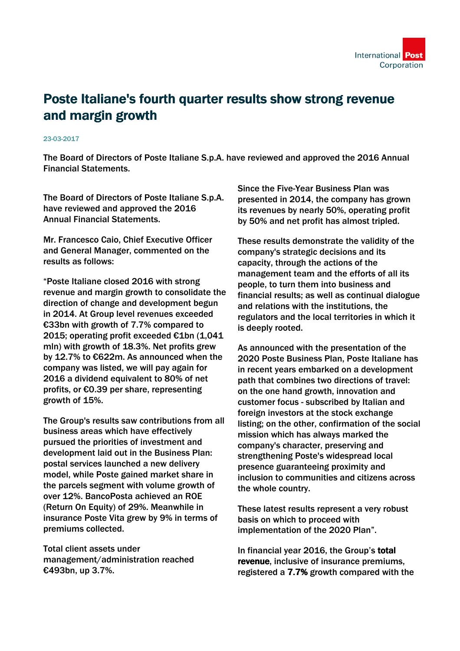

## Poste Italiane's fourth quarter results show strong revenue and margin growth

## 23-03-2017

The Board of Directors of Poste Italiane S.p.A. have reviewed and approved the 2016 Annual Financial Statements.

The Board of Directors of Poste Italiane S.p.A. have reviewed and approved the 2016 Annual Financial Statements.

Mr. Francesco Caio, Chief Executive Officer and General Manager, commented on the results as follows:

"Poste Italiane closed 2016 with strong revenue and margin growth to consolidate the direction of change and development begun in 2014. At Group level revenues exceeded €33bn with growth of 7.7% compared to 2015; operating profit exceeded €1bn (1,041 mln) with growth of 18.3%. Net profits grew by 12.7% to €622m. As announced when the company was listed, we will pay again for 2016 a dividend equivalent to 80% of net profits, or €0.39 per share, representing growth of 15%.

The Group's results saw contributions from all business areas which have effectively pursued the priorities of investment and development laid out in the Business Plan: postal services launched a new delivery model, while Poste gained market share in the parcels segment with volume growth of over 12%. BancoPosta achieved an ROE (Return On Equity) of 29%. Meanwhile in insurance Poste Vita grew by 9% in terms of premiums collected.

Total client assets under management/administration reached €493bn, up 3.7%.

Since the Five-Year Business Plan was presented in 2014, the company has grown its revenues by nearly 50%, operating profit by 50% and net profit has almost tripled.

These results demonstrate the validity of the company's strategic decisions and its capacity, through the actions of the management team and the efforts of all its people, to turn them into business and financial results; as well as continual dialogue and relations with the institutions, the regulators and the local territories in which it is deeply rooted.

As announced with the presentation of the 2020 Poste Business Plan, Poste Italiane has in recent years embarked on a development path that combines two directions of travel: on the one hand growth, innovation and customer focus - subscribed by Italian and foreign investors at the stock exchange listing; on the other, confirmation of the social mission which has always marked the company's character, preserving and strengthening Poste's widespread local presence guaranteeing proximity and inclusion to communities and citizens across the whole country.

These latest results represent a very robust basis on which to proceed with implementation of the 2020 Plan".

In financial year 2016, the Group's total revenue, inclusive of insurance premiums, registered a 7.7% growth compared with the